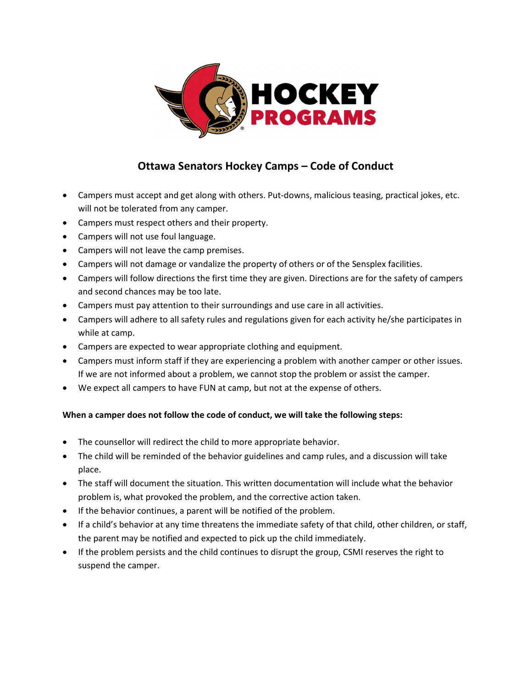

## Ottawa Senators Hockey Camps – Code of Conduct

- Campers must accept and get along with others. Put-downs, malicious teasing, practical jokes, etc. will not be tolerated from any camper.
- Campers must respect others and their property.
- Campers will not use foul language.
- Campers will not leave the camp premises.
- Campers will not damage or vandalize the property of others or of the Sensplex facilities.
- Campers will follow directions the first time they are given. Directions are for the safety of campers and second chances may be too late.
- Campers must pay attention to their surroundings and use care in all activities.
- Campers will adhere to all safety rules and regulations given for each activity he/she participates in while at camp.
- Campers are expected to wear appropriate clothing and equipment.
- Campers must inform staff if they are experiencing a problem with another camper or other issues. If we are not informed about a problem, we cannot stop the problem or assist the camper.
- We expect all campers to have FUN at camp, but not at the expense of others.

### When a camper does not follow the code of conduct, we will take the following steps:

- The counsellor will redirect the child to more appropriate behavior.
- The child will be reminded of the behavior guidelines and camp rules, and a discussion will take place.
- The staff will document the situation. This written documentation will include what the behavior problem is, what provoked the problem, and the corrective action taken.
- If the behavior continues, a parent will be notified of the problem.
- If a child's behavior at any time threatens the immediate safety of that child, other children, or staff, the parent may be notified and expected to pick up the child immediately.
- If the problem persists and the child continues to disrupt the group, CSMI reserves the right to suspend the camper.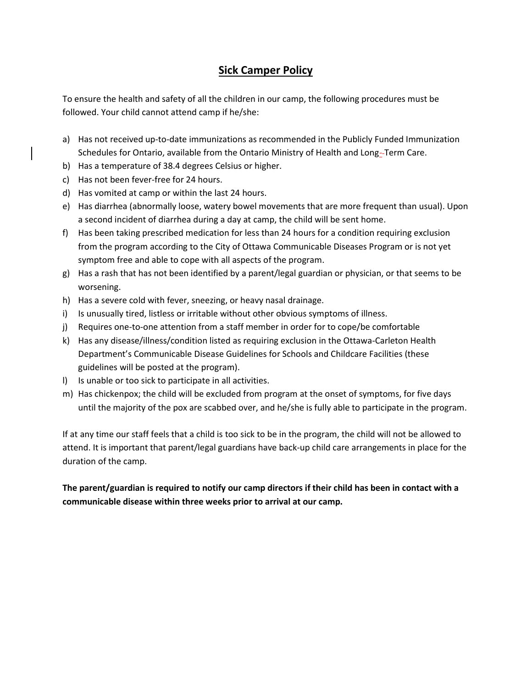## Sick Camper Policy

To ensure the health and safety of all the children in our camp, the following procedures must be followed. Your child cannot attend camp if he/she:

- a) Has not received up-to-date immunizations as recommended in the Publicly Funded Immunization Schedules for Ontario, available from the Ontario Ministry of Health and Long-Term Care.
- b) Has a temperature of 38.4 degrees Celsius or higher.
- c) Has not been fever-free for 24 hours.
- d) Has vomited at camp or within the last 24 hours.
- e) Has diarrhea (abnormally loose, watery bowel movements that are more frequent than usual). Upon a second incident of diarrhea during a day at camp, the child will be sent home.
- f) Has been taking prescribed medication for less than 24 hours for a condition requiring exclusion from the program according to the City of Ottawa Communicable Diseases Program or is not yet symptom free and able to cope with all aspects of the program.
- g) Has a rash that has not been identified by a parent/legal guardian or physician, or that seems to be worsening.
- h) Has a severe cold with fever, sneezing, or heavy nasal drainage.
- i) Is unusually tired, listless or irritable without other obvious symptoms of illness.
- j) Requires one-to-one attention from a staff member in order for to cope/be comfortable
- k) Has any disease/illness/condition listed as requiring exclusion in the Ottawa-Carleton Health Department's Communicable Disease Guidelines for Schools and Childcare Facilities (these guidelines will be posted at the program).
- l) Is unable or too sick to participate in all activities.
- m) Has chickenpox; the child will be excluded from program at the onset of symptoms, for five days until the majority of the pox are scabbed over, and he/she is fully able to participate in the program.

If at any time our staff feels that a child is too sick to be in the program, the child will not be allowed to attend. It is important that parent/legal guardians have back-up child care arrangements in place for the duration of the camp.

The parent/guardian is required to notify our camp directors if their child has been in contact with a communicable disease within three weeks prior to arrival at our camp.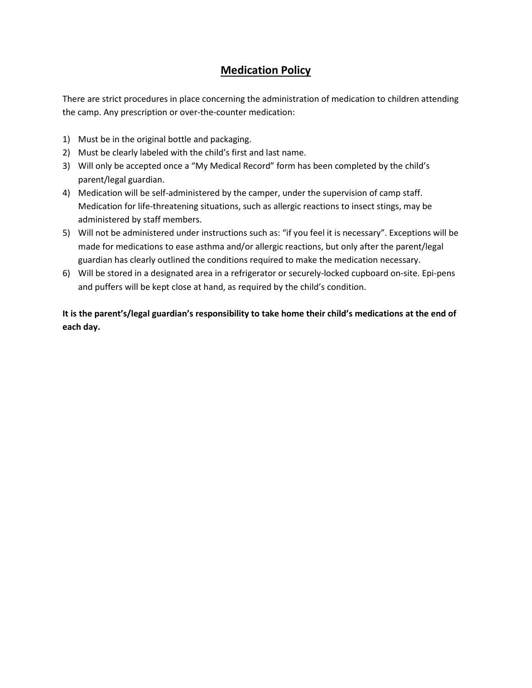### Medication Policy

There are strict procedures in place concerning the administration of medication to children attending the camp. Any prescription or over-the-counter medication:

- 1) Must be in the original bottle and packaging.
- 2) Must be clearly labeled with the child's first and last name.
- 3) Will only be accepted once a "My Medical Record" form has been completed by the child's parent/legal guardian.
- 4) Medication will be self-administered by the camper, under the supervision of camp staff. Medication for life-threatening situations, such as allergic reactions to insect stings, may be administered by staff members.
- 5) Will not be administered under instructions such as: "if you feel it is necessary". Exceptions will be made for medications to ease asthma and/or allergic reactions, but only after the parent/legal guardian has clearly outlined the conditions required to make the medication necessary.
- 6) Will be stored in a designated area in a refrigerator or securely-locked cupboard on-site. Epi-pens and puffers will be kept close at hand, as required by the child's condition.

It is the parent's/legal guardian's responsibility to take home their child's medications at the end of each day.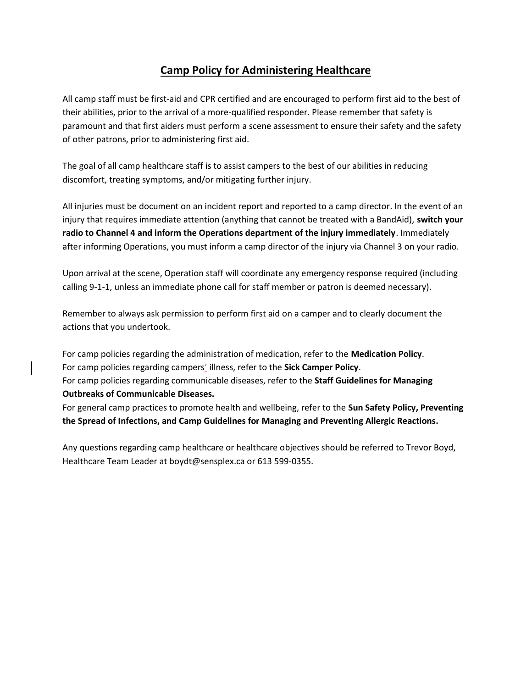### Camp Policy for Administering Healthcare

All camp staff must be first-aid and CPR certified and are encouraged to perform first aid to the best of their abilities, prior to the arrival of a more-qualified responder. Please remember that safety is paramount and that first aiders must perform a scene assessment to ensure their safety and the safety of other patrons, prior to administering first aid.

The goal of all camp healthcare staff is to assist campers to the best of our abilities in reducing discomfort, treating symptoms, and/or mitigating further injury.

All injuries must be document on an incident report and reported to a camp director. In the event of an injury that requires immediate attention (anything that cannot be treated with a BandAid), switch your radio to Channel 4 and inform the Operations department of the injury immediately. Immediately after informing Operations, you must inform a camp director of the injury via Channel 3 on your radio.

Upon arrival at the scene, Operation staff will coordinate any emergency response required (including calling 9-1-1, unless an immediate phone call for staff member or patron is deemed necessary).

Remember to always ask permission to perform first aid on a camper and to clearly document the actions that you undertook.

For camp policies regarding the administration of medication, refer to the Medication Policy. For camp policies regarding campers' illness, refer to the Sick Camper Policy. For camp policies regarding communicable diseases, refer to the Staff Guidelines for Managing Outbreaks of Communicable Diseases.

For general camp practices to promote health and wellbeing, refer to the Sun Safety Policy, Preventing the Spread of Infections, and Camp Guidelines for Managing and Preventing Allergic Reactions.

Any questions regarding camp healthcare or healthcare objectives should be referred to Trevor Boyd, Healthcare Team Leader at boydt@sensplex.ca or 613 599-0355.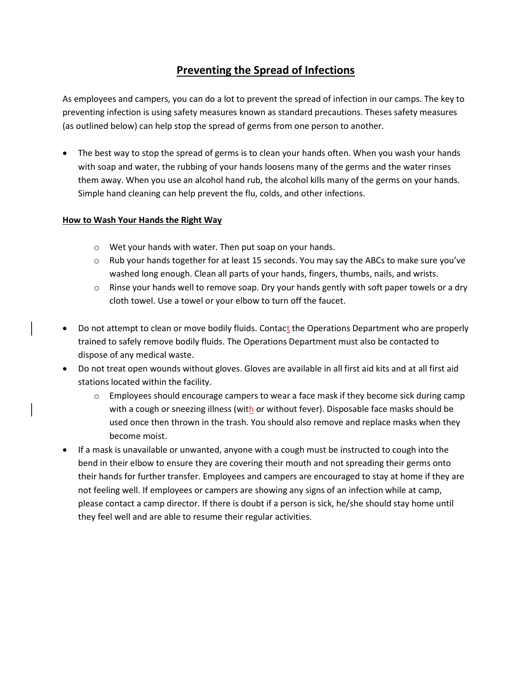## Preventing the Spread of Infections

As employees and campers, you can do a lot to prevent the spread of infection in our camps. The key to preventing infection is using safety measures known as standard precautions. Theses safety measures (as outlined below) can help stop the spread of germs from one person to another.

• The best way to stop the spread of germs is to clean your hands often. When you wash your hands with soap and water, the rubbing of your hands loosens many of the germs and the water rinses them away. When you use an alcohol hand rub, the alcohol kills many of the germs on your hands. Simple hand cleaning can help prevent the flu, colds, and other infections.

#### How to Wash Your Hands the Right Way

- o Wet your hands with water. Then put soap on your hands.
- $\circ$  Rub your hands together for at least 15 seconds. You may say the ABCs to make sure you've washed long enough. Clean all parts of your hands, fingers, thumbs, nails, and wrists.
- $\circ$  Rinse your hands well to remove soap. Dry your hands gently with soft paper towels or a dry cloth towel. Use a towel or your elbow to turn off the faucet.
- Do not attempt to clean or move bodily fluids. Contact the Operations Department who are properly trained to safely remove bodily fluids. The Operations Department must also be contacted to dispose of any medical waste.
- Do not treat open wounds without gloves. Gloves are available in all first aid kits and at all first aid stations located within the facility.
	- $\circ$  Employees should encourage campers to wear a face mask if they become sick during camp with a cough or sneezing illness (with or without fever). Disposable face masks should be used once then thrown in the trash. You should also remove and replace masks when they become moist.
- If a mask is unavailable or unwanted, anyone with a cough must be instructed to cough into the bend in their elbow to ensure they are covering their mouth and not spreading their germs onto their hands for further transfer. Employees and campers are encouraged to stay at home if they are not feeling well. If employees or campers are showing any signs of an infection while at camp, please contact a camp director. If there is doubt if a person is sick, he/she should stay home until they feel well and are able to resume their regular activities.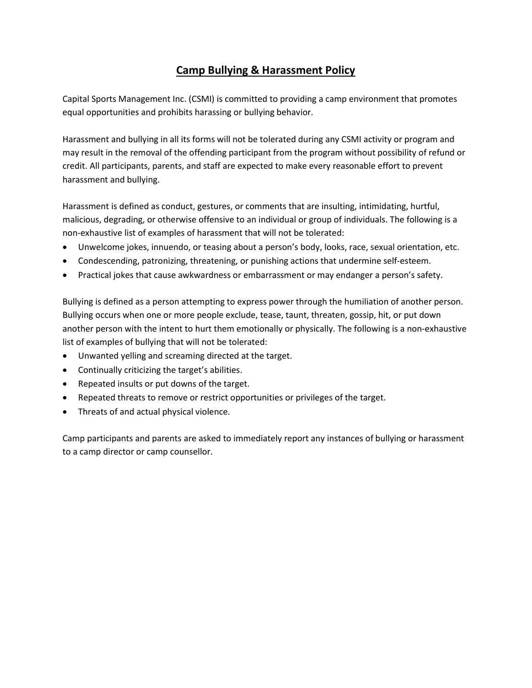# Camp Bullying & Harassment Policy

Capital Sports Management Inc. (CSMI) is committed to providing a camp environment that promotes equal opportunities and prohibits harassing or bullying behavior.

Harassment and bullying in all its forms will not be tolerated during any CSMI activity or program and may result in the removal of the offending participant from the program without possibility of refund or credit. All participants, parents, and staff are expected to make every reasonable effort to prevent harassment and bullying.

Harassment is defined as conduct, gestures, or comments that are insulting, intimidating, hurtful, malicious, degrading, or otherwise offensive to an individual or group of individuals. The following is a non-exhaustive list of examples of harassment that will not be tolerated:

- Unwelcome jokes, innuendo, or teasing about a person's body, looks, race, sexual orientation, etc.
- Condescending, patronizing, threatening, or punishing actions that undermine self-esteem.
- Practical jokes that cause awkwardness or embarrassment or may endanger a person's safety.

Bullying is defined as a person attempting to express power through the humiliation of another person. Bullying occurs when one or more people exclude, tease, taunt, threaten, gossip, hit, or put down another person with the intent to hurt them emotionally or physically. The following is a non-exhaustive list of examples of bullying that will not be tolerated:

- Unwanted yelling and screaming directed at the target.
- Continually criticizing the target's abilities.
- Repeated insults or put downs of the target.
- Repeated threats to remove or restrict opportunities or privileges of the target.
- Threats of and actual physical violence.

Camp participants and parents are asked to immediately report any instances of bullying or harassment to a camp director or camp counsellor.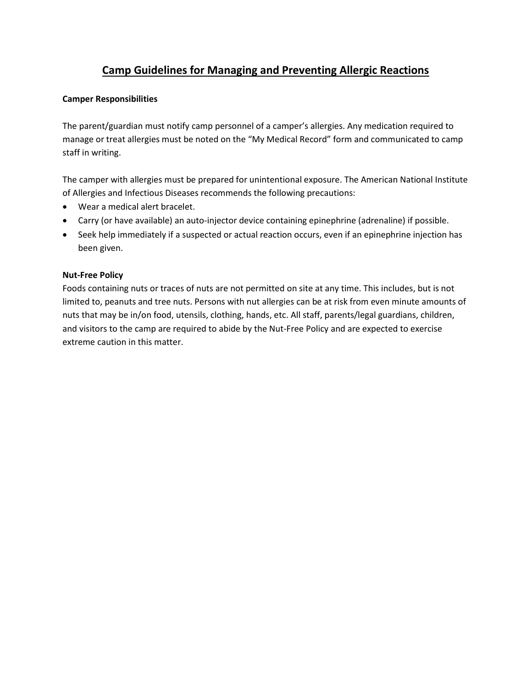# Camp Guidelines for Managing and Preventing Allergic Reactions

#### Camper Responsibilities

The parent/guardian must notify camp personnel of a camper's allergies. Any medication required to manage or treat allergies must be noted on the "My Medical Record" form and communicated to camp staff in writing.

The camper with allergies must be prepared for unintentional exposure. The American National Institute of Allergies and Infectious Diseases recommends the following precautions:

- Wear a medical alert bracelet.
- Carry (or have available) an auto-injector device containing epinephrine (adrenaline) if possible.
- Seek help immediately if a suspected or actual reaction occurs, even if an epinephrine injection has been given.

#### Nut-Free Policy

Foods containing nuts or traces of nuts are not permitted on site at any time. This includes, but is not limited to, peanuts and tree nuts. Persons with nut allergies can be at risk from even minute amounts of nuts that may be in/on food, utensils, clothing, hands, etc. All staff, parents/legal guardians, children, and visitors to the camp are required to abide by the Nut-Free Policy and are expected to exercise extreme caution in this matter.